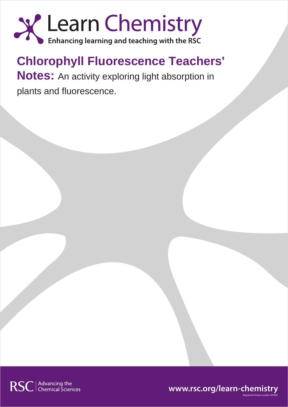

# **Chlorophyll Fluorescence Teachers'**

**Notes:** An activity exploring light absorption in plants and fluorescence.



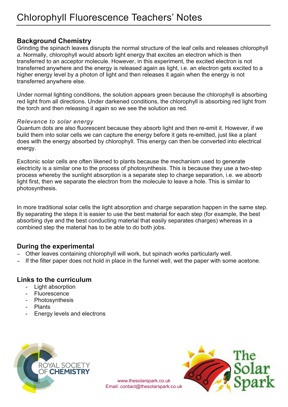### **Background Chemistry**

Grinding the spinach leaves disrupts the normal structure of the leaf cells and releases chlorophyll *a*. Normally, chlorophyll would absorb light energy that excites an electron which is then transferred to an acceptor molecule. However, in this experiment, the excited electron is not transferred anywhere and the energy is released again as light, i.e. an electron gets excited to a higher energy level by a photon of light and then releases it again when the energy is not transferred anywhere else.

Under normal lighting conditions, the solution appears green because the chlorophyll is absorbing red light from all directions. Under darkened conditions, the chlorophyll is absorbing red light from the torch and then releasing it again so we see the solution as red.

#### *Relevance to solar energy*

Quantum dots are also fluorescent because they absorb light and then re-emit it. However, if we build them into solar cells we can capture the energy before it gets re-emitted, just like a plant does with the energy absorbed by chlorophyll. This energy can then be converted into electrical energy.

Excitonic solar cells are often likened to plants because the mechanism used to generate electricity is a similar one to the process of photosynthesis. This is because they use a two-step process whereby the sunlight absorption is a separate step to charge separation, i.e. we absorb light first, then we separate the electron from the molecule to leave a hole. This is similar to photosynthesis.

In more traditional solar cells the light absorption and charge separation happen in the same step. By separating the steps it is easier to use the best material for each step (for example, the best absorbing dye and the best conducting material that easily separates charges) whereas in a combined step the material has to be able to do both jobs.

#### **During the experimental**

- − Other leaves containing chlorophyll will work, but spinach works particularly well.
- − If the filter paper does not hold in place in the funnel well, wet the paper with some acetone.

#### **Links to the curriculum**

- Light absorption
- Fluorescence
- Photosynthesis
- Plants
- Energy levels and electrons